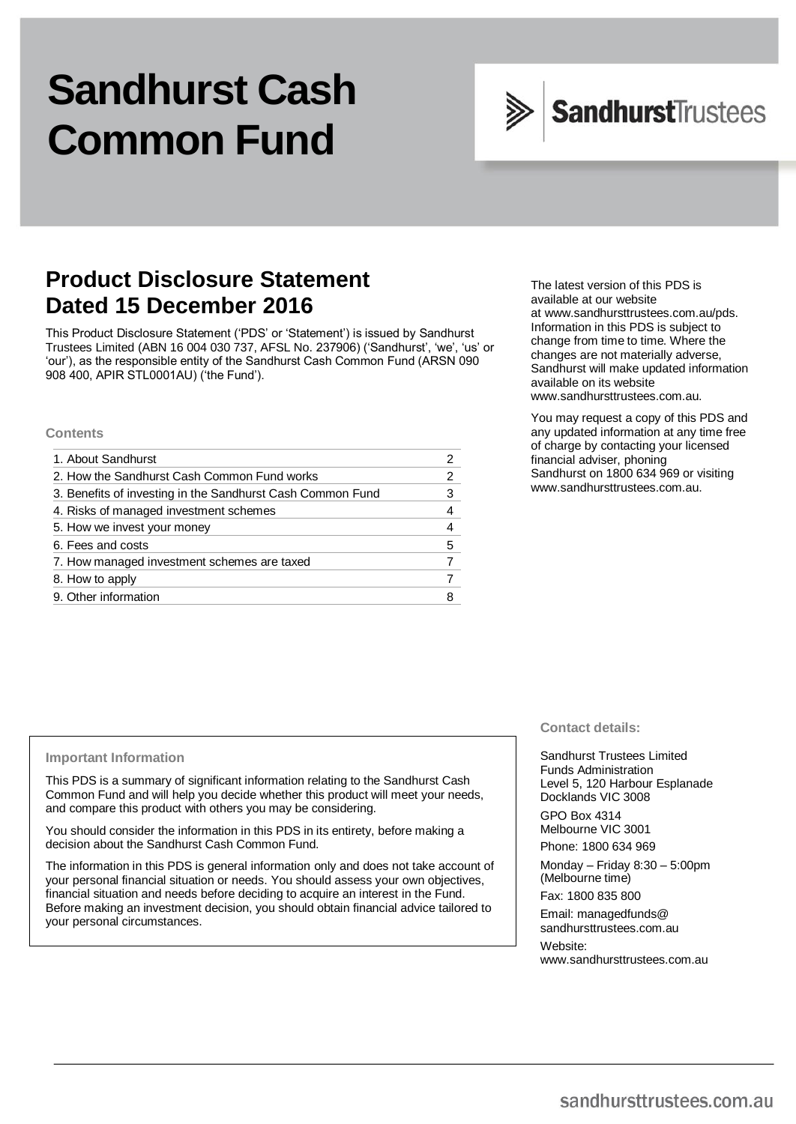# **Sandhurst Cash Common Fund**



# **Product Disclosure Statement Dated 15 December 2016**

This Product Disclosure Statement ('PDS' or 'Statement') is issued by Sandhurst Trustees Limited (ABN 16 004 030 737, AFSL No. 237906) ('Sandhurst', 'we', 'us' or 'our'), as the responsible entity of the Sandhurst Cash Common Fund (ARSN 090 908 400, APIR STL0001AU) ('the Fund').

#### **Contents**

| 1. About Sandhurst                                         |   |
|------------------------------------------------------------|---|
| 2. How the Sandhurst Cash Common Fund works                |   |
| 3. Benefits of investing in the Sandhurst Cash Common Fund | 3 |
| 4. Risks of managed investment schemes                     |   |
| 5. How we invest your money                                |   |
| 6. Fees and costs                                          | 5 |
| 7. How managed investment schemes are taxed                |   |
| 8. How to apply                                            |   |
| 9. Other information                                       |   |

The latest version of this PDS is available at our website at [www.sandhursttrustees.com.au/pds.](http://www.sandhursttrustees.com.au/pds) Information in this PDS is subject to change from time to time. Where the changes are not materially adverse, Sandhurst will make updated information available on its website www.sandhursttrustees.com.au.

You may request a copy of this PDS and any updated information at any time free of charge by contacting your licensed financial adviser, phoning Sandhurst on 1800 634 969 or visiting [www.sandhursttrustees.com.au.](http://www.sandhursttrustees.com.au/)

#### **Important Information**

This PDS is a summary of significant information relating to the Sandhurst Cash Common Fund and will help you decide whether this product will meet your needs, and compare this product with others you may be considering.

You should consider the information in this PDS in its entirety, before making a decision about the Sandhurst Cash Common Fund.

The information in this PDS is general information only and does not take account of your personal financial situation or needs. You should assess your own objectives, financial situation and needs before deciding to acquire an interest in the Fund. Before making an investment decision, you should obtain financial advice tailored to your personal circumstances.

# **Contact details:**

Sandhurst Trustees Limited Funds Administration Level 5, 120 Harbour Esplanade Docklands VIC 3008

GPO Box 4314 Melbourne VIC 3001

Phone: 1800 634 969

Monday – Friday 8:30 – 5:00pm (Melbourne time)

Fax: 1800 835 800

Email[: managedfunds@](mailto:managedfunds@sandhursttrustees.com.au)  [sandhursttrustees.com.au](mailto:managedfunds@sandhursttrustees.com.au)

Website: [www.sandhursttrustees.com.au](http://www.sandhursttrustees.com.au/)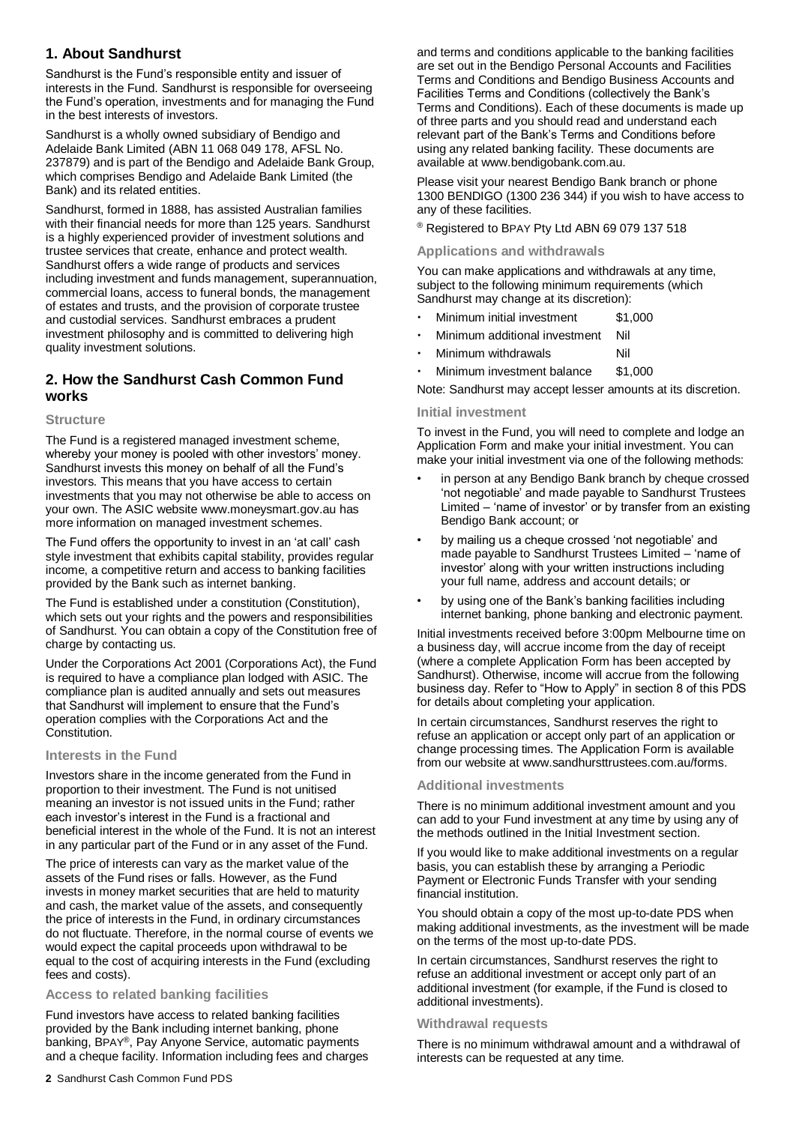# **1. About Sandhurst**

Sandhurst is the Fund's responsible entity and issuer of interests in the Fund. Sandhurst is responsible for overseeing the Fund's operation, investments and for managing the Fund in the best interests of investors.

Sandhurst is a wholly owned subsidiary of Bendigo and Adelaide Bank Limited (ABN 11 068 049 178, AFSL No. 237879) and is part of the Bendigo and Adelaide Bank Group, which comprises Bendigo and Adelaide Bank Limited (the Bank) and its related entities.

Sandhurst, formed in 1888, has assisted Australian families with their financial needs for more than 125 years. Sandhurst is a highly experienced provider of investment solutions and trustee services that create, enhance and protect wealth. Sandhurst offers a wide range of products and services including investment and funds management, superannuation, commercial loans, access to funeral bonds, the management of estates and trusts, and the provision of corporate trustee and custodial services. Sandhurst embraces a prudent investment philosophy and is committed to delivering high quality investment solutions.

# **2. How the Sandhurst Cash Common Fund works**

#### **Structure**

The Fund is a registered managed investment scheme, whereby your money is pooled with other investors' money. Sandhurst invests this money on behalf of all the Fund's investors. This means that you have access to certain investments that you may not otherwise be able to access on your own. The ASIC website [www.moneysmart.gov.au](http://www.moneysmart.gov.au/) has more information on managed investment schemes.

The Fund offers the opportunity to invest in an 'at call' cash style investment that exhibits capital stability, provides regular income, a competitive return and access to banking facilities provided by the Bank such as internet banking.

The Fund is established under a constitution (Constitution), which sets out your rights and the powers and responsibilities of Sandhurst. You can obtain a copy of the Constitution free of charge by contacting us.

Under the Corporations Act 2001 (Corporations Act), the Fund is required to have a compliance plan lodged with ASIC. The compliance plan is audited annually and sets out measures that Sandhurst will implement to ensure that the Fund's operation complies with the Corporations Act and the Constitution.

# **Interests in the Fund**

Investors share in the income generated from the Fund in proportion to their investment. The Fund is not unitised meaning an investor is not issued units in the Fund; rather each investor's interest in the Fund is a fractional and beneficial interest in the whole of the Fund. It is not an interest in any particular part of the Fund or in any asset of the Fund.

The price of interests can vary as the market value of the assets of the Fund rises or falls. However, as the Fund invests in money market securities that are held to maturity and cash, the market value of the assets, and consequently the price of interests in the Fund, in ordinary circumstances do not fluctuate. Therefore, in the normal course of events we would expect the capital proceeds upon withdrawal to be equal to the cost of acquiring interests in the Fund (excluding fees and costs).

# **Access to related banking facilities**

Fund investors have access to related banking facilities provided by the Bank including internet banking, phone banking, BPAY®, Pay Anyone Service, automatic payments and a cheque facility. Information including fees and charges and terms and conditions applicable to the banking facilities are set out in the Bendigo Personal Accounts and Facilities Terms and Conditions and Bendigo Business Accounts and Facilities Terms and Conditions (collectively the Bank's Terms and Conditions). Each of these documents is made up of three parts and you should read and understand each relevant part of the Bank's Terms and Conditions before using any related banking facility. These documents are available a[t www.bendigobank.com.au.](http://www.bendigobank.com.au/)

Please visit your nearest Bendigo Bank branch or phone 1300 BENDIGO (1300 236 344) if you wish to have access to any of these facilities.

® Registered to BPAY Pty Ltd ABN 69 079 137 518

#### **Applications and withdrawals**

You can make applications and withdrawals at any time, subject to the following minimum requirements (which Sandhurst may change at its discretion):

- Minimum initial investment \$1,000
- Minimum additional investment Nil
- Minimum withdrawals **Nil**
- Minimum investment balance \$1,000

Note: Sandhurst may accept lesser amounts at its discretion.

#### **Initial investment**

To invest in the Fund, you will need to complete and lodge an Application Form and make your initial investment. You can make your initial investment via one of the following methods:

- in person at any Bendigo Bank branch by cheque crossed 'not negotiable' and made payable to Sandhurst Trustees Limited – 'name of investor' or by transfer from an existing Bendigo Bank account; or
- by mailing us a cheque crossed 'not negotiable' and made payable to Sandhurst Trustees Limited – 'name of investor' along with your written instructions including your full name, address and account details; or
- by using one of the Bank's banking facilities including internet banking, phone banking and electronic payment.

Initial investments received before 3:00pm Melbourne time on a business day, will accrue income from the day of receipt (where a complete Application Form has been accepted by Sandhurst). Otherwise, income will accrue from the following business day. Refer to "How to Apply" in section 8 of this PDS for details about completing your application.

In certain circumstances, Sandhurst reserves the right to refuse an application or accept only part of an application or change processing times. The Application Form is available from our website a[t www.sandhursttrustees.com.au/forms.](http://www.sandhursttrustees.com.au/forms)

# **Additional investments**

There is no minimum additional investment amount and you can add to your Fund investment at any time by using any of the methods outlined in the Initial Investment section.

If you would like to make additional investments on a regular basis, you can establish these by arranging a Periodic Payment or Electronic Funds Transfer with your sending financial institution.

You should obtain a copy of the most up-to-date PDS when making additional investments, as the investment will be made on the terms of the most up-to-date PDS.

In certain circumstances, Sandhurst reserves the right to refuse an additional investment or accept only part of an additional investment (for example, if the Fund is closed to additional investments).

#### **Withdrawal requests**

There is no minimum withdrawal amount and a withdrawal of interests can be requested at any time.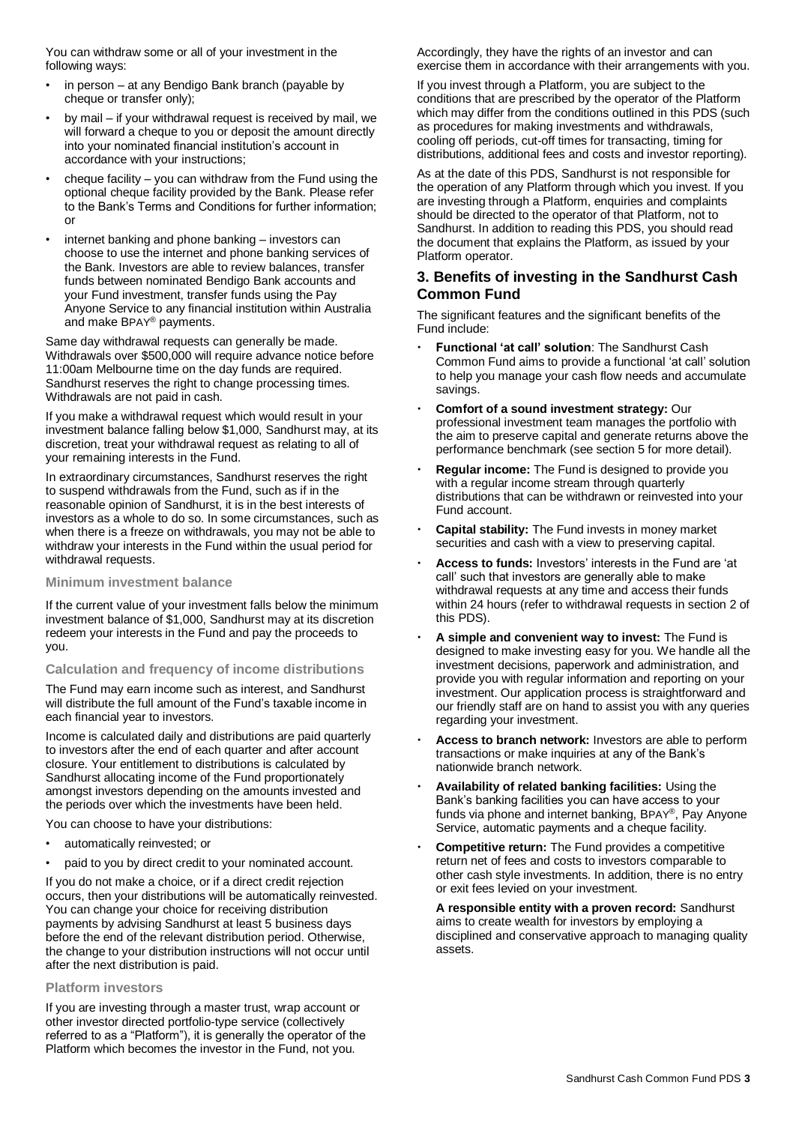You can withdraw some or all of your investment in the following ways:

- in person at any Bendigo Bank branch (payable by cheque or transfer only);
- by mail if your withdrawal request is received by mail, we will forward a cheque to you or deposit the amount directly into your nominated financial institution's account in accordance with your instructions;
- cheque facility  $-$  you can withdraw from the Fund using the optional cheque facility provided by the Bank. Please refer to the Bank's Terms and Conditions for further information; or
- internet banking and phone banking investors can choose to use the internet and phone banking services of the Bank. Investors are able to review balances, transfer funds between nominated Bendigo Bank accounts and your Fund investment, transfer funds using the Pay Anyone Service to any financial institution within Australia and make BPAY® payments.

Same day withdrawal requests can generally be made. Withdrawals over \$500,000 will require advance notice before 11:00am Melbourne time on the day funds are required. Sandhurst reserves the right to change processing times. Withdrawals are not paid in cash.

If you make a withdrawal request which would result in your investment balance falling below \$1,000, Sandhurst may, at its discretion, treat your withdrawal request as relating to all of your remaining interests in the Fund.

In extraordinary circumstances, Sandhurst reserves the right to suspend withdrawals from the Fund, such as if in the reasonable opinion of Sandhurst, it is in the best interests of investors as a whole to do so. In some circumstances, such as when there is a freeze on withdrawals, you may not be able to withdraw your interests in the Fund within the usual period for withdrawal requests.

#### **Minimum investment balance**

If the current value of your investment falls below the minimum investment balance of \$1,000, Sandhurst may at its discretion redeem your interests in the Fund and pay the proceeds to you.

#### **Calculation and frequency of income distributions**

The Fund may earn income such as interest, and Sandhurst will distribute the full amount of the Fund's taxable income in each financial year to investors.

Income is calculated daily and distributions are paid quarterly to investors after the end of each quarter and after account closure. Your entitlement to distributions is calculated by Sandhurst allocating income of the Fund proportionately amongst investors depending on the amounts invested and the periods over which the investments have been held.

You can choose to have your distributions:

- automatically reinvested; or
- paid to you by direct credit to your nominated account.

If you do not make a choice, or if a direct credit rejection occurs, then your distributions will be automatically reinvested. You can change your choice for receiving distribution payments by advising Sandhurst at least 5 business days before the end of the relevant distribution period. Otherwise, the change to your distribution instructions will not occur until after the next distribution is paid.

# **Platform investors**

If you are investing through a master trust, wrap account or other investor directed portfolio-type service (collectively referred to as a "Platform"), it is generally the operator of the Platform which becomes the investor in the Fund, not you.

Accordingly, they have the rights of an investor and can exercise them in accordance with their arrangements with you.

If you invest through a Platform, you are subject to the conditions that are prescribed by the operator of the Platform which may differ from the conditions outlined in this PDS (such as procedures for making investments and withdrawals, cooling off periods, cut-off times for transacting, timing for distributions, additional fees and costs and investor reporting).

As at the date of this PDS, Sandhurst is not responsible for the operation of any Platform through which you invest. If you are investing through a Platform, enquiries and complaints should be directed to the operator of that Platform, not to Sandhurst. In addition to reading this PDS, you should read the document that explains the Platform, as issued by your Platform operator.

# **3. Benefits of investing in the Sandhurst Cash Common Fund**

The significant features and the significant benefits of the Fund include:

- **Functional 'at call' solution**: The Sandhurst Cash Common Fund aims to provide a functional 'at call' solution to help you manage your cash flow needs and accumulate savings.
- **Comfort of a sound investment strategy:** Our professional investment team manages the portfolio with the aim to preserve capital and generate returns above the performance benchmark (see section 5 for more detail).
- **Regular income:** The Fund is designed to provide you with a regular income stream through quarterly distributions that can be withdrawn or reinvested into your Fund account.
- **Capital stability:** The Fund invests in money market securities and cash with a view to preserving capital.
- **Access to funds:** Investors' interests in the Fund are 'at call' such that investors are generally able to make withdrawal requests at any time and access their funds within 24 hours (refer to withdrawal requests in section 2 of this PDS).
- **A simple and convenient way to invest:** The Fund is designed to make investing easy for you. We handle all the investment decisions, paperwork and administration, and provide you with regular information and reporting on your investment. Our application process is straightforward and our friendly staff are on hand to assist you with any queries regarding your investment.
- **Access to branch network:** Investors are able to perform transactions or make inquiries at any of the Bank's nationwide branch network.
- **Availability of related banking facilities:** Using the Bank's banking facilities you can have access to your funds via phone and internet banking, BPAY®, Pay Anyone Service, automatic payments and a cheque facility.
- **Competitive return:** The Fund provides a competitive return net of fees and costs to investors comparable to other cash style investments. In addition, there is no entry or exit fees levied on your investment.

**A responsible entity with a proven record:** Sandhurst aims to create wealth for investors by employing a disciplined and conservative approach to managing quality assets.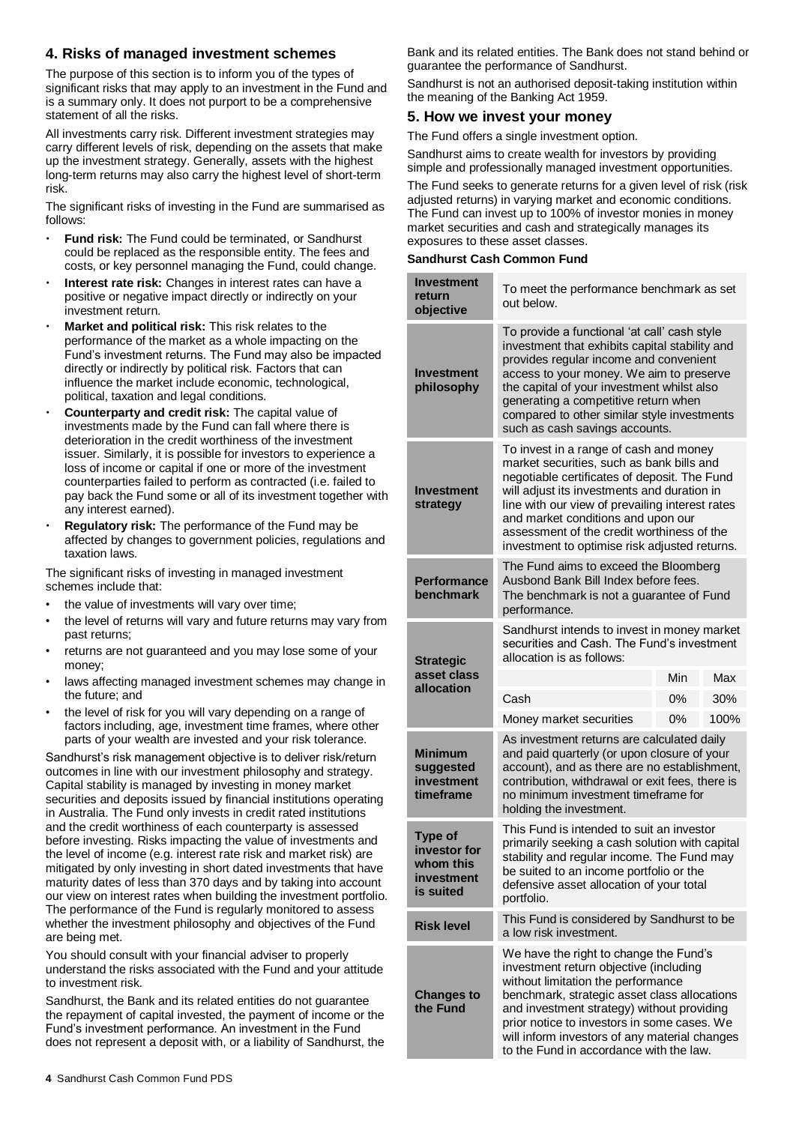# **4. Risks of managed investment schemes**

The purpose of this section is to inform you of the types of significant risks that may apply to an investment in the Fund and is a summary only. It does not purport to be a comprehensive statement of all the risks.

All investments carry risk. Different investment strategies may carry different levels of risk, depending on the assets that make up the investment strategy. Generally, assets with the highest long-term returns may also carry the highest level of short-term risk.

The significant risks of investing in the Fund are summarised as follows:

- **Fund risk:** The Fund could be terminated, or Sandhurst could be replaced as the responsible entity. The fees and costs, or key personnel managing the Fund, could change.
- **Interest rate risk:** Changes in interest rates can have a positive or negative impact directly or indirectly on your investment return.
- **Market and political risk:** This risk relates to the performance of the market as a whole impacting on the Fund's investment returns. The Fund may also be impacted directly or indirectly by political risk. Factors that can influence the market include economic, technological, political, taxation and legal conditions.
- **Counterparty and credit risk:** The capital value of investments made by the Fund can fall where there is deterioration in the credit worthiness of the investment issuer. Similarly, it is possible for investors to experience a loss of income or capital if one or more of the investment counterparties failed to perform as contracted (i.e. failed to pay back the Fund some or all of its investment together with any interest earned).
- **Regulatory risk:** The performance of the Fund may be affected by changes to government policies, regulations and taxation laws.

The significant risks of investing in managed investment schemes include that:

- the value of investments will vary over time;
- the level of returns will vary and future returns may vary from past returns;
- returns are not guaranteed and you may lose some of your money;
- laws affecting managed investment schemes may change in the future; and
- the level of risk for you will vary depending on a range of factors including, age, investment time frames, where other parts of your wealth are invested and your risk tolerance.

Sandhurst's risk management objective is to deliver risk/return outcomes in line with our investment philosophy and strategy. Capital stability is managed by investing in money market securities and deposits issued by financial institutions operating in Australia. The Fund only invests in credit rated institutions and the credit worthiness of each counterparty is assessed before investing. Risks impacting the value of investments and the level of income (e.g. interest rate risk and market risk) are mitigated by only investing in short dated investments that have maturity dates of less than 370 days and by taking into account our view on interest rates when building the investment portfolio. The performance of the Fund is regularly monitored to assess whether the investment philosophy and objectives of the Fund are being met.

You should consult with your financial adviser to properly understand the risks associated with the Fund and your attitude to investment risk.

Sandhurst, the Bank and its related entities do not guarantee the repayment of capital invested, the payment of income or the Fund's investment performance. An investment in the Fund does not represent a deposit with, or a liability of Sandhurst, the Bank and its related entities. The Bank does not stand behind or guarantee the performance of Sandhurst.

Sandhurst is not an authorised deposit-taking institution within the meaning of the Banking Act 1959.

# **5. How we invest your money**

The Fund offers a single investment option.

Sandhurst aims to create wealth for investors by providing simple and professionally managed investment opportunities.

The Fund seeks to generate returns for a given level of risk (risk adjusted returns) in varying market and economic conditions. The Fund can invest up to 100% of investor monies in money market securities and cash and strategically manages its exposures to these asset classes.

#### **Sandhurst Cash Common Fund**

| Investment<br>return<br>objective                                      | To meet the performance benchmark as set<br>out below.                                                                                                                                                                                                                                                                                                                     |     |      |  |
|------------------------------------------------------------------------|----------------------------------------------------------------------------------------------------------------------------------------------------------------------------------------------------------------------------------------------------------------------------------------------------------------------------------------------------------------------------|-----|------|--|
| <b>Investment</b><br>philosophy                                        | To provide a functional 'at call' cash style<br>investment that exhibits capital stability and<br>provides regular income and convenient<br>access to your money. We aim to preserve<br>the capital of your investment whilst also<br>generating a competitive return when<br>compared to other similar style investments<br>such as cash savings accounts.                |     |      |  |
| Investment<br>strategy                                                 | To invest in a range of cash and money<br>market securities, such as bank bills and<br>negotiable certificates of deposit. The Fund<br>will adjust its investments and duration in<br>line with our view of prevailing interest rates<br>and market conditions and upon our<br>assessment of the credit worthiness of the<br>investment to optimise risk adjusted returns. |     |      |  |
| <b>Performance</b><br>benchmark                                        | The Fund aims to exceed the Bloomberg<br>Ausbond Bank Bill Index before fees.<br>The benchmark is not a guarantee of Fund<br>performance.                                                                                                                                                                                                                                  |     |      |  |
| <b>Strategic</b>                                                       | Sandhurst intends to invest in money market<br>securities and Cash. The Fund's investment<br>allocation is as follows:                                                                                                                                                                                                                                                     |     |      |  |
| asset class                                                            |                                                                                                                                                                                                                                                                                                                                                                            | Min | Max  |  |
| allocation                                                             | Cash                                                                                                                                                                                                                                                                                                                                                                       | 0%  | 30%  |  |
|                                                                        | Money market securities                                                                                                                                                                                                                                                                                                                                                    | 0%  | 100% |  |
| <b>Minimum</b><br>suggested<br>investment<br>timeframe                 | As investment returns are calculated daily<br>and paid quarterly (or upon closure of your<br>account), and as there are no establishment,<br>contribution, withdrawal or exit fees, there is<br>no minimum investment timeframe for<br>holding the investment.                                                                                                             |     |      |  |
| <b>Type of</b><br>investor for<br>whom this<br>investment<br>is suited | This Fund is intended to suit an investor<br>primarily seeking a cash solution with capital<br>stability and regular income. The Fund may<br>be suited to an income portfolio or the<br>defensive asset allocation of your total<br>portfolio.                                                                                                                             |     |      |  |
| <b>Risk level</b>                                                      | This Fund is considered by Sandhurst to be<br>a low risk investment.                                                                                                                                                                                                                                                                                                       |     |      |  |
| <b>Changes to</b><br>the Fund                                          | We have the right to change the Fund's<br>investment return objective (including<br>without limitation the performance<br>benchmark, strategic asset class allocations<br>and investment strategy) without providing<br>prior notice to investors in some cases. We<br>will inform investors of any material changes<br>to the Fund in accordance with the law.            |     |      |  |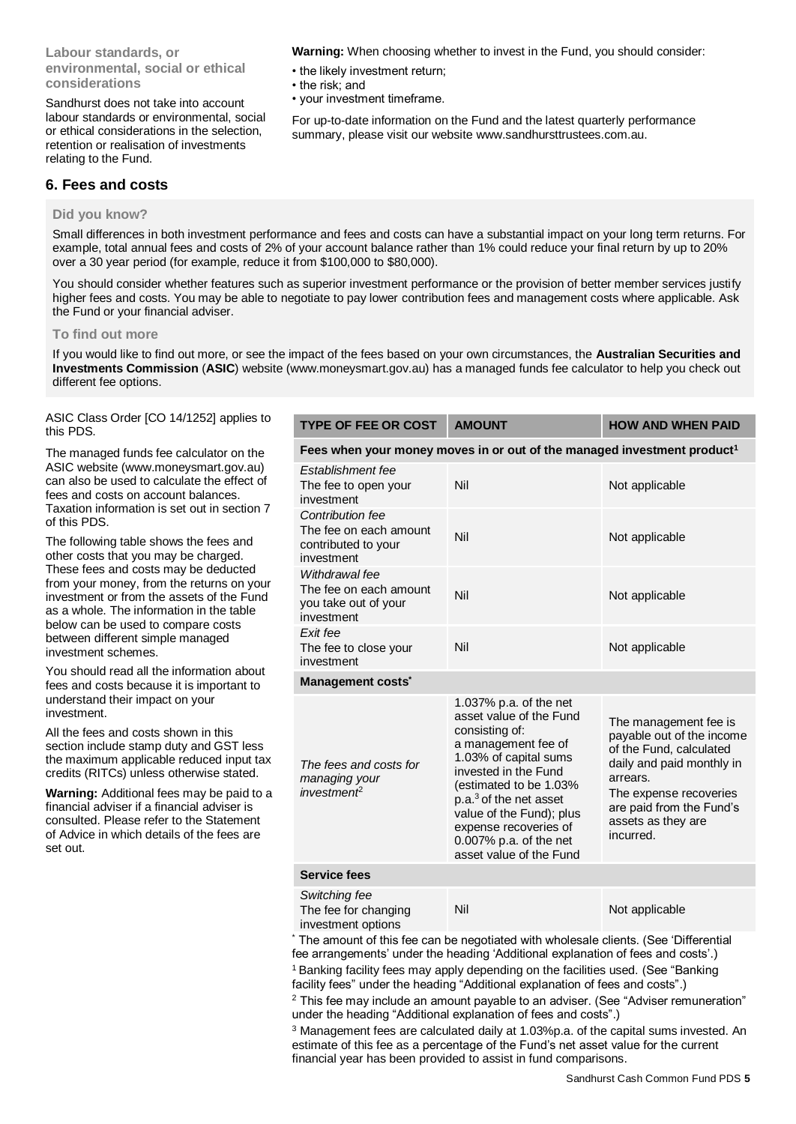# **Labour standards, or environmental, social or ethical considerations**

Sandhurst does not take into account labour standards or environmental, social or ethical considerations in the selection, retention or realisation of investments relating to the Fund.

**Warning:** When choosing whether to invest in the Fund, you should consider:

- the likely investment return;
- the risk; and
- your investment timeframe.

For up-to-date information on the Fund and the latest quarterly performance summary, please visit our website [www.sandhursttrustees.com.au.](http://www.sandhursttrustees.com.au/)

# **6. Fees and costs**

# **Did you know?**

Small differences in both investment performance and fees and costs can have a substantial impact on your long term returns. For example, total annual fees and costs of 2% of your account balance rather than 1% could reduce your final return by up to 20% over a 30 year period (for example, reduce it from \$100,000 to \$80,000).

You should consider whether features such as superior investment performance or the provision of better member services justify higher fees and costs. You may be able to negotiate to pay lower contribution fees and management costs where applicable. Ask the Fund or your financial adviser.

#### **To find out more**

If you would like to find out more, or see the impact of the fees based on your own circumstances, the **Australian Securities and Investments Commission** (**ASIC**) website (www.moneysmart.gov.au) has a managed funds fee calculator to help you check out different fee options.

ASIC Class Order [CO 14/1252] applies to this PDS.

The managed funds fee calculator on the ASIC website [\(www.moneysmart.gov.au\)](http://www.moneysmart.gov.au/) can also be used to calculate the effect of fees and costs on account balances. Taxation information is set out in section 7 of this PDS.

The following table shows the fees and other costs that you may be charged. These fees and costs may be deducted from your money, from the returns on your investment or from the assets of the Fund as a whole. The information in the table below can be used to compare costs between different simple managed investment schemes.

You should read all the information about fees and costs because it is important to understand their impact on your investment.

All the fees and costs shown in this section include stamp duty and GST less the maximum applicable reduced input tax credits (RITCs) unless otherwise stated.

**Warning:** Additional fees may be paid to a financial adviser if a financial adviser is consulted. Please refer to the Statement of Advice in which details of the fees are set out.

| <b>TYPE OF FEE OR COST</b>                                                          | <b>AMOUNT</b>                                                                                                                                                                                                                                                                                                         | <b>HOW AND WHEN PAID</b>                                                                                                                                                                                        |  |  |  |
|-------------------------------------------------------------------------------------|-----------------------------------------------------------------------------------------------------------------------------------------------------------------------------------------------------------------------------------------------------------------------------------------------------------------------|-----------------------------------------------------------------------------------------------------------------------------------------------------------------------------------------------------------------|--|--|--|
| Fees when your money moves in or out of the managed investment product <sup>1</sup> |                                                                                                                                                                                                                                                                                                                       |                                                                                                                                                                                                                 |  |  |  |
| Establishment fee<br>The fee to open your<br>investment                             | Nil                                                                                                                                                                                                                                                                                                                   | Not applicable                                                                                                                                                                                                  |  |  |  |
| Contribution fee<br>The fee on each amount<br>contributed to your<br>investment     | Nil                                                                                                                                                                                                                                                                                                                   | Not applicable                                                                                                                                                                                                  |  |  |  |
| Withdrawal fee<br>The fee on each amount<br>you take out of your<br>investment      | Nil                                                                                                                                                                                                                                                                                                                   | Not applicable                                                                                                                                                                                                  |  |  |  |
| Exit fee<br>The fee to close your<br>investment                                     | Nil                                                                                                                                                                                                                                                                                                                   | Not applicable                                                                                                                                                                                                  |  |  |  |
| Management costs <sup>*</sup>                                                       |                                                                                                                                                                                                                                                                                                                       |                                                                                                                                                                                                                 |  |  |  |
| The fees and costs for<br>managing your<br>inverse                                  | 1.037% p.a. of the net<br>asset value of the Fund<br>consisting of:<br>a management fee of<br>1.03% of capital sums<br>invested in the Fund<br>(estimated to be 1.03%<br>p.a. <sup>3</sup> of the net asset<br>value of the Fund); plus<br>expense recoveries of<br>0.007% p.a. of the net<br>asset value of the Fund | The management fee is<br>payable out of the income<br>of the Fund, calculated<br>daily and paid monthly in<br>arrears.<br>The expense recoveries<br>are paid from the Fund's<br>assets as they are<br>incurred. |  |  |  |
| <b>Service fees</b>                                                                 |                                                                                                                                                                                                                                                                                                                       |                                                                                                                                                                                                                 |  |  |  |
| Switching fee<br>The fee for changing<br>investment options                         | Nil                                                                                                                                                                                                                                                                                                                   | Not applicable                                                                                                                                                                                                  |  |  |  |

The amount of this fee can be negotiated with wholesale clients. (See 'Differential fee arrangements' under the heading 'Additional explanation of fees and costs'.)

<sup>1</sup> Banking facility fees may apply depending on the facilities used. (See "Banking" facility fees" under the heading "Additional explanation of fees and costs".)

<sup>2</sup> This fee may include an amount payable to an adviser. (See "Adviser remuneration" under the heading "Additional explanation of fees and costs".)

 $3$  Management fees are calculated daily at 1.03%p.a. of the capital sums invested. An estimate of this fee as a percentage of the Fund's net asset value for the current financial year has been provided to assist in fund comparisons.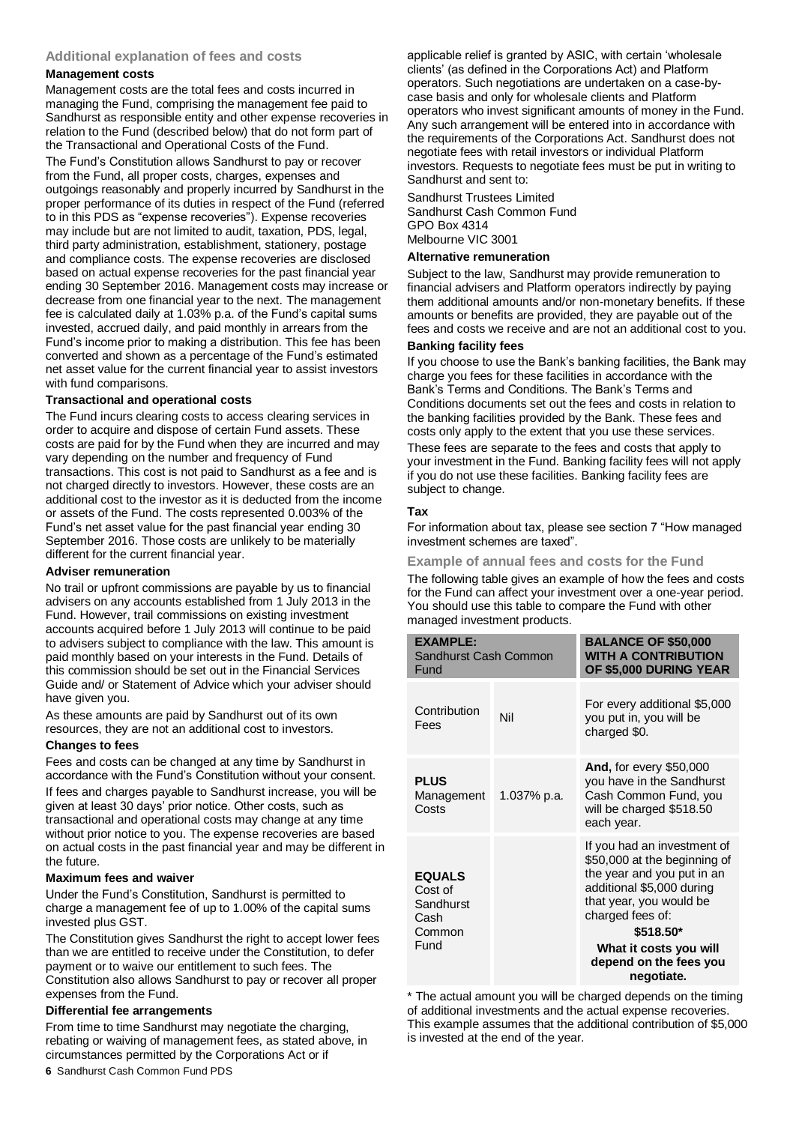#### **Additional explanation of fees and costs**

#### **Management costs**

Management costs are the total fees and costs incurred in managing the Fund, comprising the management fee paid to Sandhurst as responsible entity and other expense recoveries in relation to the Fund (described below) that do not form part of the Transactional and Operational Costs of the Fund. The Fund's Constitution allows Sandhurst to pay or recover

from the Fund, all proper costs, charges, expenses and outgoings reasonably and properly incurred by Sandhurst in the proper performance of its duties in respect of the Fund (referred to in this PDS as "expense recoveries"). Expense recoveries may include but are not limited to audit, taxation, PDS, legal, third party administration, establishment, stationery, postage and compliance costs. The expense recoveries are disclosed based on actual expense recoveries for the past financial year ending 30 September 2016. Management costs may increase or decrease from one financial year to the next. The management fee is calculated daily at 1.03% p.a. of the Fund's capital sums invested, accrued daily, and paid monthly in arrears from the Fund's income prior to making a distribution. This fee has been converted and shown as a percentage of the Fund's estimated net asset value for the current financial year to assist investors with fund comparisons.

#### **Transactional and operational costs**

The Fund incurs clearing costs to access clearing services in order to acquire and dispose of certain Fund assets. These costs are paid for by the Fund when they are incurred and may vary depending on the number and frequency of Fund transactions. This cost is not paid to Sandhurst as a fee and is not charged directly to investors. However, these costs are an additional cost to the investor as it is deducted from the income or assets of the Fund. The costs represented 0.003% of the Fund's net asset value for the past financial year ending 30 September 2016. Those costs are unlikely to be materially different for the current financial year.

# **Adviser remuneration**

No trail or upfront commissions are payable by us to financial advisers on any accounts established from 1 July 2013 in the Fund. However, trail commissions on existing investment accounts acquired before 1 July 2013 will continue to be paid to advisers subject to compliance with the law. This amount is paid monthly based on your interests in the Fund. Details of this commission should be set out in the Financial Services Guide and/ or Statement of Advice which your adviser should have given you.

As these amounts are paid by Sandhurst out of its own resources, they are not an additional cost to investors.

#### **Changes to fees**

Fees and costs can be changed at any time by Sandhurst in accordance with the Fund's Constitution without your consent. If fees and charges payable to Sandhurst increase, you will be given at least 30 days' prior notice. Other costs, such as transactional and operational costs may change at any time without prior notice to you. The expense recoveries are based on actual costs in the past financial year and may be different in the future.

#### **Maximum fees and waiver**

Under the Fund's Constitution, Sandhurst is permitted to charge a management fee of up to 1.00% of the capital sums invested plus GST.

The Constitution gives Sandhurst the right to accept lower fees than we are entitled to receive under the Constitution, to defer payment or to waive our entitlement to such fees. The Constitution also allows Sandhurst to pay or recover all proper expenses from the Fund.

#### **Differential fee arrangements**

From time to time Sandhurst may negotiate the charging, rebating or waiving of management fees, as stated above, in circumstances permitted by the Corporations Act or if

applicable relief is granted by ASIC, with certain 'wholesale clients' (as defined in the Corporations Act) and Platform operators. Such negotiations are undertaken on a case-bycase basis and only for wholesale clients and Platform operators who invest significant amounts of money in the Fund. Any such arrangement will be entered into in accordance with the requirements of the Corporations Act. Sandhurst does not negotiate fees with retail investors or individual Platform investors. Requests to negotiate fees must be put in writing to Sandhurst and sent to:

Sandhurst Trustees Limited Sandhurst Cash Common Fund GPO Box 4314 Melbourne VIC 3001

#### **Alternative remuneration**

Subject to the law, Sandhurst may provide remuneration to financial advisers and Platform operators indirectly by paying them additional amounts and/or non-monetary benefits. If these amounts or benefits are provided, they are payable out of the fees and costs we receive and are not an additional cost to you.

# **Banking facility fees**

If you choose to use the Bank's banking facilities, the Bank may charge you fees for these facilities in accordance with the Bank's Terms and Conditions. The Bank's Terms and Conditions documents set out the fees and costs in relation to the banking facilities provided by the Bank. These fees and costs only apply to the extent that you use these services. These fees are separate to the fees and costs that apply to your investment in the Fund. Banking facility fees will not apply if you do not use these facilities. Banking facility fees are subject to change.

#### **Tax**

For information about tax, please see section 7 "How managed investment schemes are taxed".

**Example of annual fees and costs for the Fund**

The following table gives an example of how the fees and costs for the Fund can affect your investment over a one-year period. You should use this table to compare the Fund with other managed investment products.

| <b>FXAMPIF:</b><br>Sandhurst Cash Common<br>Fund                |             | <b>BALANCE OF \$50,000</b><br><b>WITH A CONTRIBUTION</b><br>OF \$5,000 DURING YEAR                                                                                                                                                                   |
|-----------------------------------------------------------------|-------------|------------------------------------------------------------------------------------------------------------------------------------------------------------------------------------------------------------------------------------------------------|
| Contribution<br>Fees                                            | Nil         | For every additional \$5,000<br>you put in, you will be<br>charged \$0.                                                                                                                                                                              |
| <b>PLUS</b><br>Management<br>Costs                              | 1.037% p.a. | <b>And, for every \$50,000</b><br>you have in the Sandhurst<br>Cash Common Fund, you<br>will be charged \$518.50<br>each year.                                                                                                                       |
| <b>EQUALS</b><br>Cost of<br>Sandhurst<br>Cash<br>Common<br>Fund |             | If you had an investment of<br>\$50,000 at the beginning of<br>the year and you put in an<br>additional \$5,000 during<br>that year, you would be<br>charged fees of:<br>\$518.50*<br>What it costs you will<br>depend on the fees you<br>negotiate. |

\* The actual amount you will be charged depends on the timing of additional investments and the actual expense recoveries. This example assumes that the additional contribution of \$5,000 is invested at the end of the year.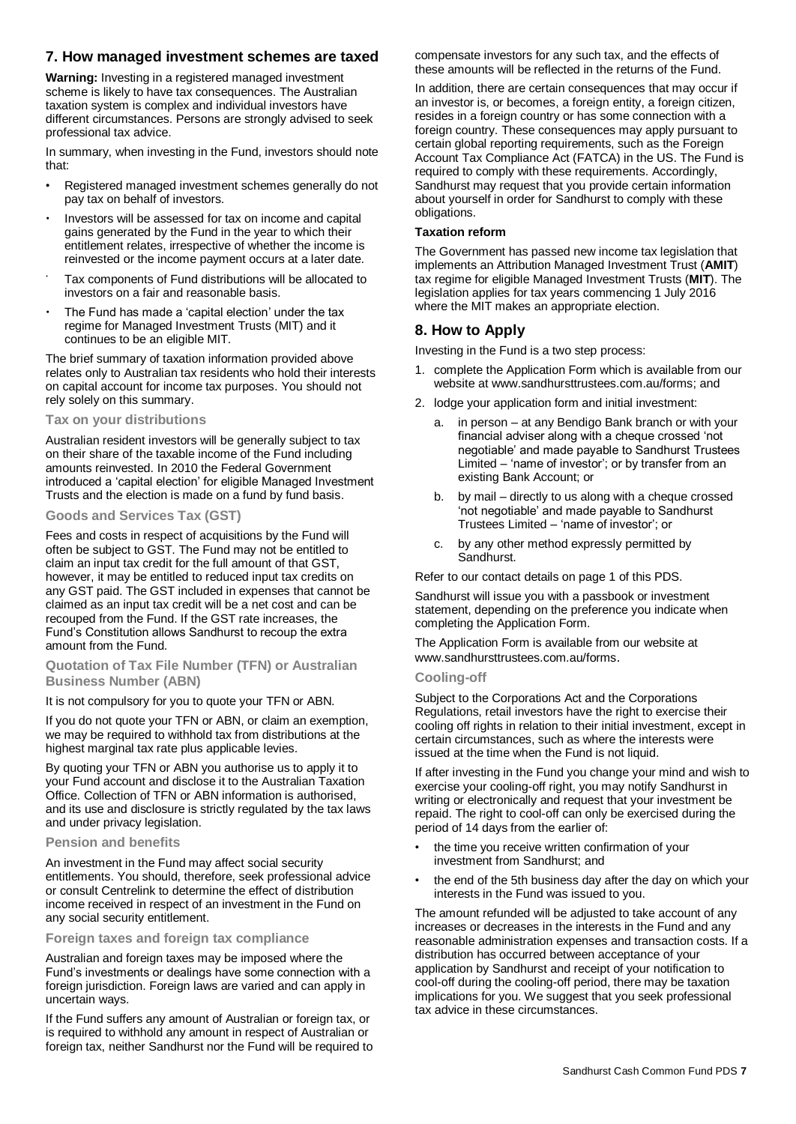# **7. How managed investment schemes are taxed**

**Warning:** Investing in a registered managed investment scheme is likely to have tax consequences. The Australian taxation system is complex and individual investors have different circumstances. Persons are strongly advised to seek professional tax advice.

In summary, when investing in the Fund, investors should note that:

- Registered managed investment schemes generally do not pay tax on behalf of investors.
- Investors will be assessed for tax on income and capital gains generated by the Fund in the year to which their entitlement relates, irrespective of whether the income is reinvested or the income payment occurs at a later date.
- Tax components of Fund distributions will be allocated to investors on a fair and reasonable basis.
- The Fund has made a 'capital election' under the tax regime for Managed Investment Trusts (MIT) and it continues to be an eligible MIT.

The brief summary of taxation information provided above relates only to Australian tax residents who hold their interests on capital account for income tax purposes. You should not rely solely on this summary.

#### **Tax on your distributions**

Australian resident investors will be generally subject to tax on their share of the taxable income of the Fund including amounts reinvested. In 2010 the Federal Government introduced a 'capital election' for eligible Managed Investment Trusts and the election is made on a fund by fund basis.

#### **Goods and Services Tax (GST)**

Fees and costs in respect of acquisitions by the Fund will often be subject to GST. The Fund may not be entitled to claim an input tax credit for the full amount of that GST, however, it may be entitled to reduced input tax credits on any GST paid. The GST included in expenses that cannot be claimed as an input tax credit will be a net cost and can be recouped from the Fund. If the GST rate increases, the Fund's Constitution allows Sandhurst to recoup the extra amount from the Fund.

#### **Quotation of Tax File Number (TFN) or Australian Business Number (ABN)**

#### It is not compulsory for you to quote your TFN or ABN.

If you do not quote your TFN or ABN, or claim an exemption, we may be required to withhold tax from distributions at the highest marginal tax rate plus applicable levies.

By quoting your TFN or ABN you authorise us to apply it to your Fund account and disclose it to the Australian Taxation Office. Collection of TFN or ABN information is authorised, and its use and disclosure is strictly regulated by the tax laws and under privacy legislation.

#### **Pension and benefits**

An investment in the Fund may affect social security entitlements. You should, therefore, seek professional advice or consult Centrelink to determine the effect of distribution income received in respect of an investment in the Fund on any social security entitlement.

#### **Foreign taxes and foreign tax compliance**

Australian and foreign taxes may be imposed where the Fund's investments or dealings have some connection with a foreign jurisdiction. Foreign laws are varied and can apply in uncertain ways.

If the Fund suffers any amount of Australian or foreign tax, or is required to withhold any amount in respect of Australian or foreign tax, neither Sandhurst nor the Fund will be required to compensate investors for any such tax, and the effects of these amounts will be reflected in the returns of the Fund.

In addition, there are certain consequences that may occur if an investor is, or becomes, a foreign entity, a foreign citizen, resides in a foreign country or has some connection with a foreign country. These consequences may apply pursuant to certain global reporting requirements, such as the Foreign Account Tax Compliance Act (FATCA) in the US. The Fund is required to comply with these requirements. Accordingly, Sandhurst may request that you provide certain information about yourself in order for Sandhurst to comply with these obligations.

#### **Taxation reform**

The Government has passed new income tax legislation that implements an Attribution Managed Investment Trust (**AMIT**) tax regime for eligible Managed Investment Trusts (**MIT**). The legislation applies for tax years commencing 1 July 2016 where the MIT makes an appropriate election.

# **8. How to Apply**

Investing in the Fund is a two step process:

- 1. complete the Application Form which is available from our website a[t www.sandhursttrustees.com.au/forms;](http://www.sandhursttrustees.com.au/forms) and
- 2. lodge your application form and initial investment:
	- in person  $-$  at any Bendigo Bank branch or with your financial adviser along with a cheque crossed 'not negotiable' and made payable to Sandhurst Trustees Limited – 'name of investor'; or by transfer from an existing Bank Account; or
	- b. by mail directly to us along with a cheque crossed 'not negotiable' and made payable to Sandhurst Trustees Limited – 'name of investor'; or
	- c. by any other method expressly permitted by Sandhurst.

Refer to our contact details on page 1 of this PDS.

Sandhurst will issue you with a passbook or investment statement, depending on the preference you indicate when completing the Application Form.

The Application Form is available from our website at [www.sandhursttrustees.com.au/forms](http://www.sandhursttrustees.com.au/forms).

#### **Cooling-off**

Subject to the Corporations Act and the Corporations Regulations, retail investors have the right to exercise their cooling off rights in relation to their initial investment, except in certain circumstances, such as where the interests were issued at the time when the Fund is not liquid.

If after investing in the Fund you change your mind and wish to exercise your cooling-off right, you may notify Sandhurst in writing or electronically and request that your investment be repaid. The right to cool-off can only be exercised during the period of 14 days from the earlier of:

- the time you receive written confirmation of your investment from Sandhurst; and
- the end of the 5th business day after the day on which your interests in the Fund was issued to you.

The amount refunded will be adjusted to take account of any increases or decreases in the interests in the Fund and any reasonable administration expenses and transaction costs. If a distribution has occurred between acceptance of your application by Sandhurst and receipt of your notification to cool-off during the cooling-off period, there may be taxation implications for you. We suggest that you seek professional tax advice in these circumstances.